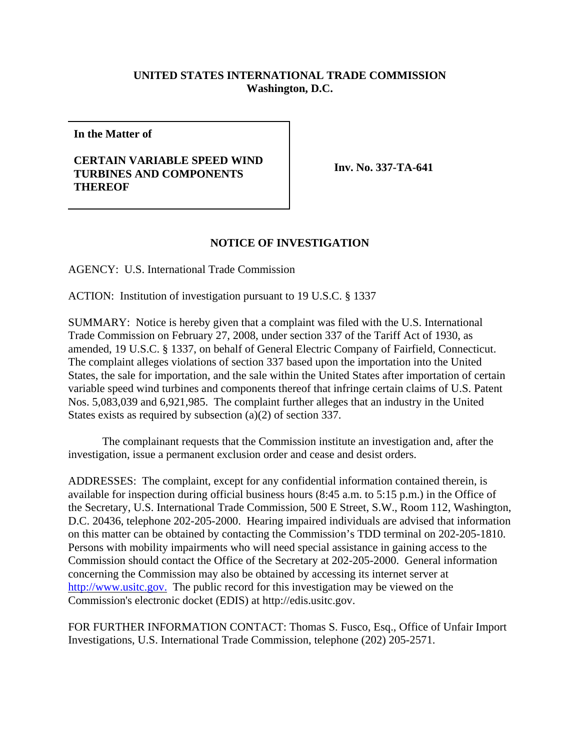## **UNITED STATES INTERNATIONAL TRADE COMMISSION Washington, D.C.**

**In the Matter of**

## **CERTAIN VARIABLE SPEED WIND TURBINES AND COMPONENTS THEREOF**

**Inv. No. 337-TA-641**

## **NOTICE OF INVESTIGATION**

AGENCY: U.S. International Trade Commission

ACTION: Institution of investigation pursuant to 19 U.S.C. § 1337

SUMMARY: Notice is hereby given that a complaint was filed with the U.S. International Trade Commission on February 27, 2008, under section 337 of the Tariff Act of 1930, as amended, 19 U.S.C. § 1337, on behalf of General Electric Company of Fairfield, Connecticut. The complaint alleges violations of section 337 based upon the importation into the United States, the sale for importation, and the sale within the United States after importation of certain variable speed wind turbines and components thereof that infringe certain claims of U.S. Patent Nos. 5,083,039 and 6,921,985. The complaint further alleges that an industry in the United States exists as required by subsection (a)(2) of section 337.

The complainant requests that the Commission institute an investigation and, after the investigation, issue a permanent exclusion order and cease and desist orders.

ADDRESSES: The complaint, except for any confidential information contained therein, is available for inspection during official business hours (8:45 a.m. to 5:15 p.m.) in the Office of the Secretary, U.S. International Trade Commission, 500 E Street, S.W., Room 112, Washington, D.C. 20436, telephone 202-205-2000. Hearing impaired individuals are advised that information on this matter can be obtained by contacting the Commission's TDD terminal on 202-205-1810. Persons with mobility impairments who will need special assistance in gaining access to the Commission should contact the Office of the Secretary at 202-205-2000. General information concerning the Commission may also be obtained by accessing its internet server at http://www.usitc.gov. The public record for this investigation may be viewed on the Commission's electronic docket (EDIS) at http://edis.usitc.gov.

FOR FURTHER INFORMATION CONTACT: Thomas S. Fusco, Esq., Office of Unfair Import Investigations, U.S. International Trade Commission, telephone (202) 205-2571.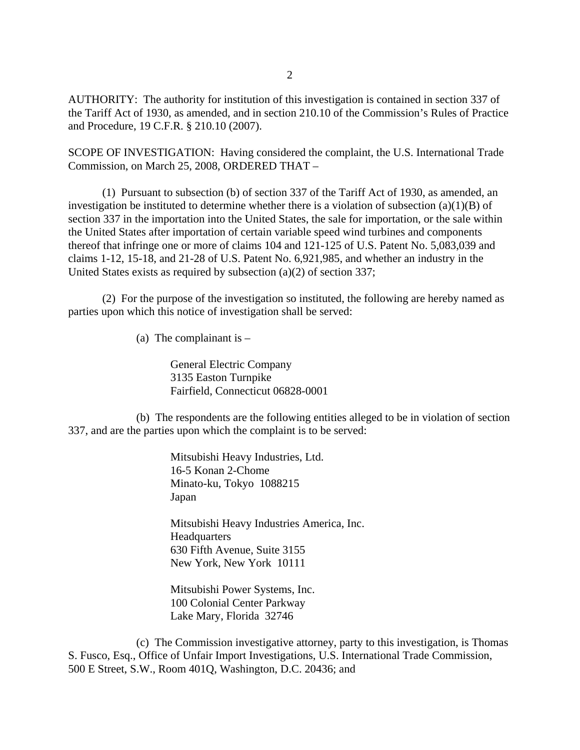AUTHORITY: The authority for institution of this investigation is contained in section 337 of the Tariff Act of 1930, as amended, and in section 210.10 of the Commission's Rules of Practice and Procedure, 19 C.F.R. § 210.10 (2007).

SCOPE OF INVESTIGATION: Having considered the complaint, the U.S. International Trade Commission, on March 25, 2008, ORDERED THAT –

(1) Pursuant to subsection (b) of section 337 of the Tariff Act of 1930, as amended, an investigation be instituted to determine whether there is a violation of subsection (a)(1)(B) of section 337 in the importation into the United States, the sale for importation, or the sale within the United States after importation of certain variable speed wind turbines and components thereof that infringe one or more of claims 104 and 121-125 of U.S. Patent No. 5,083,039 and claims 1-12, 15-18, and 21-28 of U.S. Patent No. 6,921,985, and whether an industry in the United States exists as required by subsection (a)(2) of section 337;

(2) For the purpose of the investigation so instituted, the following are hereby named as parties upon which this notice of investigation shall be served:

(a) The complainant is  $-$ 

General Electric Company 3135 Easton Turnpike Fairfield, Connecticut 06828-0001

(b) The respondents are the following entities alleged to be in violation of section 337, and are the parties upon which the complaint is to be served:

> Mitsubishi Heavy Industries, Ltd. 16-5 Konan 2-Chome Minato-ku, Tokyo 1088215 Japan

Mitsubishi Heavy Industries America, Inc. **Headquarters** 630 Fifth Avenue, Suite 3155 New York, New York 10111

Mitsubishi Power Systems, Inc. 100 Colonial Center Parkway Lake Mary, Florida 32746

(c) The Commission investigative attorney, party to this investigation, is Thomas S. Fusco, Esq., Office of Unfair Import Investigations, U.S. International Trade Commission, 500 E Street, S.W., Room 401Q, Washington, D.C. 20436; and